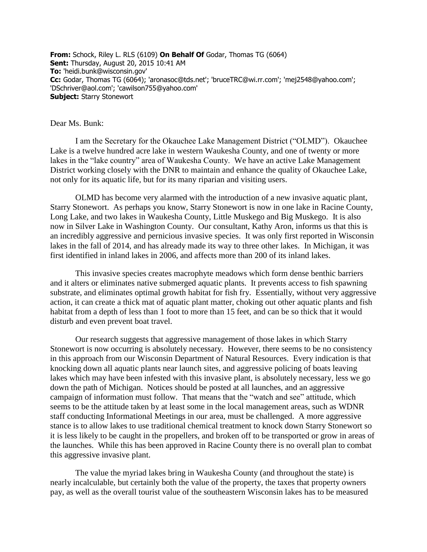**From:** Schock, Riley L. RLS (6109) **On Behalf Of** Godar, Thomas TG (6064) **Sent:** Thursday, August 20, 2015 10:41 AM **To:** 'heidi.bunk@wisconsin.gov' **Cc:** Godar, Thomas TG (6064); 'aronasoc@tds.net'; 'bruceTRC@wi.rr.com'; 'mej2548@yahoo.com'; 'DSchriver@aol.com'; 'cawilson755@yahoo.com' **Subject:** Starry Stonewort

## Dear Ms. Bunk:

I am the Secretary for the Okauchee Lake Management District ("OLMD"). Okauchee Lake is a twelve hundred acre lake in western Waukesha County, and one of twenty or more lakes in the "lake country" area of Waukesha County. We have an active Lake Management District working closely with the DNR to maintain and enhance the quality of Okauchee Lake, not only for its aquatic life, but for its many riparian and visiting users.

OLMD has become very alarmed with the introduction of a new invasive aquatic plant, Starry Stonewort. As perhaps you know, Starry Stonewort is now in one lake in Racine County, Long Lake, and two lakes in Waukesha County, Little Muskego and Big Muskego. It is also now in Silver Lake in Washington County. Our consultant, Kathy Aron, informs us that this is an incredibly aggressive and pernicious invasive species. It was only first reported in Wisconsin lakes in the fall of 2014, and has already made its way to three other lakes. In Michigan, it was first identified in inland lakes in 2006, and affects more than 200 of its inland lakes.

This invasive species creates macrophyte meadows which form dense benthic barriers and it alters or eliminates native submerged aquatic plants. It prevents access to fish spawning substrate, and eliminates optimal growth habitat for fish fry. Essentially, without very aggressive action, it can create a thick mat of aquatic plant matter, choking out other aquatic plants and fish habitat from a depth of less than 1 foot to more than 15 feet, and can be so thick that it would disturb and even prevent boat travel.

Our research suggests that aggressive management of those lakes in which Starry Stonewort is now occurring is absolutely necessary. However, there seems to be no consistency in this approach from our Wisconsin Department of Natural Resources. Every indication is that knocking down all aquatic plants near launch sites, and aggressive policing of boats leaving lakes which may have been infested with this invasive plant, is absolutely necessary, less we go down the path of Michigan. Notices should be posted at all launches, and an aggressive campaign of information must follow. That means that the "watch and see" attitude, which seems to be the attitude taken by at least some in the local management areas, such as WDNR staff conducting Informational Meetings in our area, must be challenged. A more aggressive stance is to allow lakes to use traditional chemical treatment to knock down Starry Stonewort so it is less likely to be caught in the propellers, and broken off to be transported or grow in areas of the launches. While this has been approved in Racine County there is no overall plan to combat this aggressive invasive plant.

The value the myriad lakes bring in Waukesha County (and throughout the state) is nearly incalculable, but certainly both the value of the property, the taxes that property owners pay, as well as the overall tourist value of the southeastern Wisconsin lakes has to be measured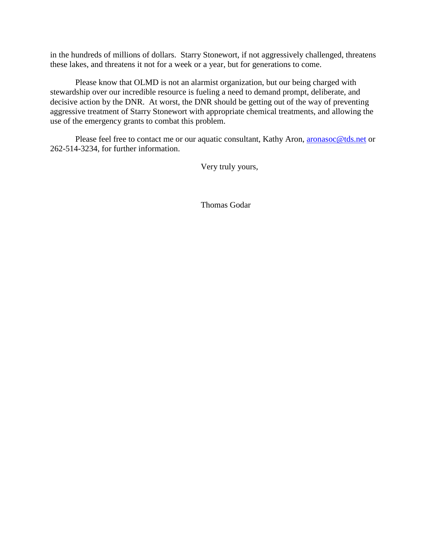in the hundreds of millions of dollars. Starry Stonewort, if not aggressively challenged, threatens these lakes, and threatens it not for a week or a year, but for generations to come.

Please know that OLMD is not an alarmist organization, but our being charged with stewardship over our incredible resource is fueling a need to demand prompt, deliberate, and decisive action by the DNR. At worst, the DNR should be getting out of the way of preventing aggressive treatment of Starry Stonewort with appropriate chemical treatments, and allowing the use of the emergency grants to combat this problem.

Please feel free to contact me or our aquatic consultant, Kathy Aron, [aronasoc@tds.net](mailto:aronasoc@tds.net) or 262-514-3234, for further information.

Very truly yours,

Thomas Godar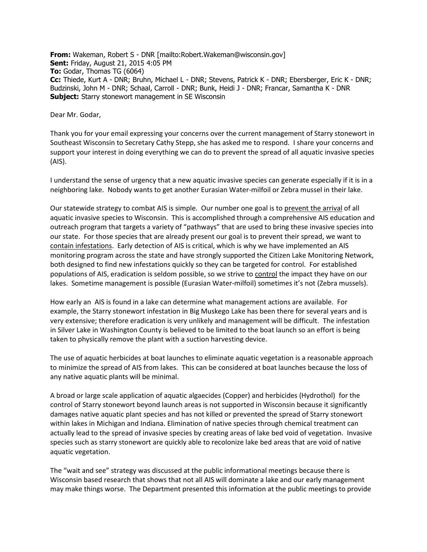**From:** Wakeman, Robert S - DNR [mailto:Robert.Wakeman@wisconsin.gov] **Sent:** Friday, August 21, 2015 4:05 PM **To:** Godar, Thomas TG (6064) **Cc:** Thiede, Kurt A - DNR; Bruhn, Michael L - DNR; Stevens, Patrick K - DNR; Ebersberger, Eric K - DNR; Budzinski, John M - DNR; Schaal, Carroll - DNR; Bunk, Heidi J - DNR; Francar, Samantha K - DNR **Subject:** Starry stonewort management in SE Wisconsin

Dear Mr. Godar,

Thank you for your email expressing your concerns over the current management of Starry stonewort in Southeast Wisconsin to Secretary Cathy Stepp, she has asked me to respond. I share your concerns and support your interest in doing everything we can do to prevent the spread of all aquatic invasive species (AIS).

I understand the sense of urgency that a new aquatic invasive species can generate especially if it is in a neighboring lake. Nobody wants to get another Eurasian Water-milfoil or Zebra mussel in their lake.

Our statewide strategy to combat AIS is simple. Our number one goal is to prevent the arrival of all aquatic invasive species to Wisconsin. This is accomplished through a comprehensive AIS education and outreach program that targets a variety of "pathways" that are used to bring these invasive species into our state. For those species that are already present our goal is to prevent their spread, we want to contain infestations. Early detection of AIS is critical, which is why we have implemented an AIS monitoring program across the state and have strongly supported the Citizen Lake Monitoring Network, both designed to find new infestations quickly so they can be targeted for control. For established populations of AIS, eradication is seldom possible, so we strive to control the impact they have on our lakes. Sometime management is possible (Eurasian Water-milfoil) sometimes it's not (Zebra mussels).

How early an AIS is found in a lake can determine what management actions are available. For example, the Starry stonewort infestation in Big Muskego Lake has been there for several years and is very extensive; therefore eradication is very unlikely and management will be difficult. The infestation in Silver Lake in Washington County is believed to be limited to the boat launch so an effort is being taken to physically remove the plant with a suction harvesting device.

The use of aquatic herbicides at boat launches to eliminate aquatic vegetation is a reasonable approach to minimize the spread of AIS from lakes. This can be considered at boat launches because the loss of any native aquatic plants will be minimal.

A broad or large scale application of aquatic algaecides (Copper) and herbicides (Hydrothol) for the control of Starry stonewort beyond launch areas is not supported in Wisconsin because it significantly damages native aquatic plant species and has not killed or prevented the spread of Starry stonewort within lakes in Michigan and Indiana. Elimination of native species through chemical treatment can actually lead to the spread of invasive species by creating areas of lake bed void of vegetation. Invasive species such as starry stonewort are quickly able to recolonize lake bed areas that are void of native aquatic vegetation.

The "wait and see" strategy was discussed at the public informational meetings because there is Wisconsin based research that shows that not all AIS will dominate a lake and our early management may make things worse. The Department presented this information at the public meetings to provide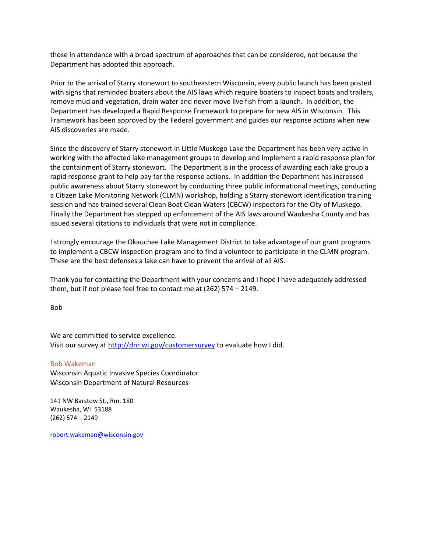those in attendance with a broad spectrum of approaches that can be considered, not because the Department has adopted this approach.

Prior to the arrival of Starry stonewort to southeastern Wisconsin, every public launch has been posted with signs that reminded boaters about the AIS laws which require boaters to inspect boats and trailers, remove mud and vegetation, drain water and never move live fish from a launch. In addition, the Department has developed a Rapid Response Framework to prepare for new AIS in Wisconsin. This Framework has been approved by the Federal government and guides our response actions when new AIS discoveries are made.

Since the discovery of Starry stonewort in Little Muskego Lake the Department has been very active in working with the affected lake management groups to develop and implement a rapid response plan for the containment of Starry stonewort. The Department is in the process of awarding each lake group a rapid response grant to help pay for the response actions. In addition the Department has increased public awareness about Starry stonewort by conducting three public informational meetings, conducting a Citizen Lake Monitoring Network (CLMN) workshop, holding a Starry stonewort identification training session and has trained several Clean Boat Clean Waters (CBCW) inspectors for the City of Muskego. Finally the Department has stepped up enforcement of the AIS laws around Waukesha County and has issued several citations to individuals that were not in compliance.

I strongly encourage the Okauchee Lake Management District to take advantage of our grant programs to implement a CBCW inspection program and to find a volunteer to participate in the CLMN program. These are the best defenses a lake can have to prevent the arrival of all AIS.

Thank you for contacting the Department with your concerns and I hope I have adequately addressed them, but if not please feel free to contact me at (262) 574 – 2149.

Bob

We are committed to service excellence. Visit our survey at<http://dnr.wi.gov/customersurvey> to evaluate how I did.

Bob Wakeman Wisconsin Aquatic Invasive Species Coordinator Wisconsin Department of Natural Resources

141 NW Barstow St., Rm. 180 Waukesha, WI 53188 (262) 574 – 2149

[robert.wakeman@wisconsin.gov](mailto:robert.wakeman@wisconsin.gov)